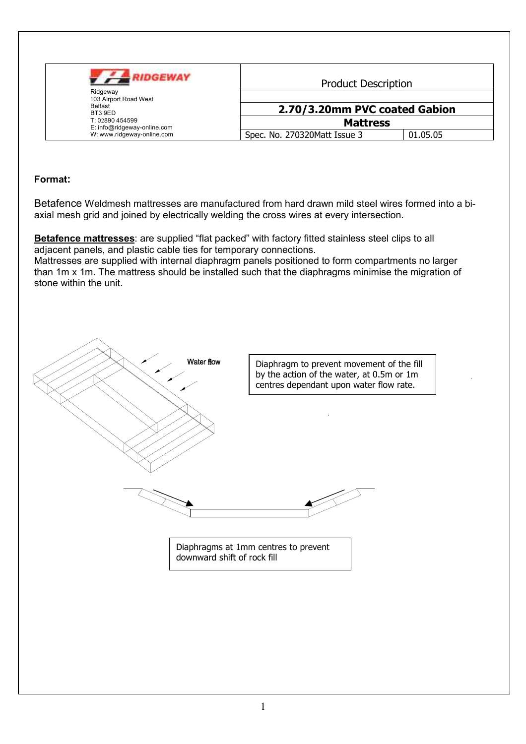| <b>IIDGEWAY</b><br>Ridgeway<br>103 Airport Road West | <b>Product Description</b>    |          |  |
|------------------------------------------------------|-------------------------------|----------|--|
| <b>Belfast</b><br>BT3 9ED                            | 2.70/3.20mm PVC coated Gabion |          |  |
| T: 02890 454599<br>E: info@ridgeway-online.com       | <b>Mattress</b>               |          |  |
| W: www.ridgeway-online.com                           | Spec. No. 270320Matt Issue 3  | 01.05.05 |  |

## Format:

Betafence Weldmesh mattresses are manufactured from hard drawn mild steel wires formed into a biaxial mesh grid and joined by electrically welding the cross wires at every intersection.

Betafence mattresses: are supplied "flat packed" with factory fitted stainless steel clips to all adjacent panels, and plastic cable ties for temporary connections.

Mattresses are supplied with internal diaphragm panels positioned to form compartments no larger than 1m x 1m. The mattress should be installed such that the diaphragms minimise the migration of stone within the unit.